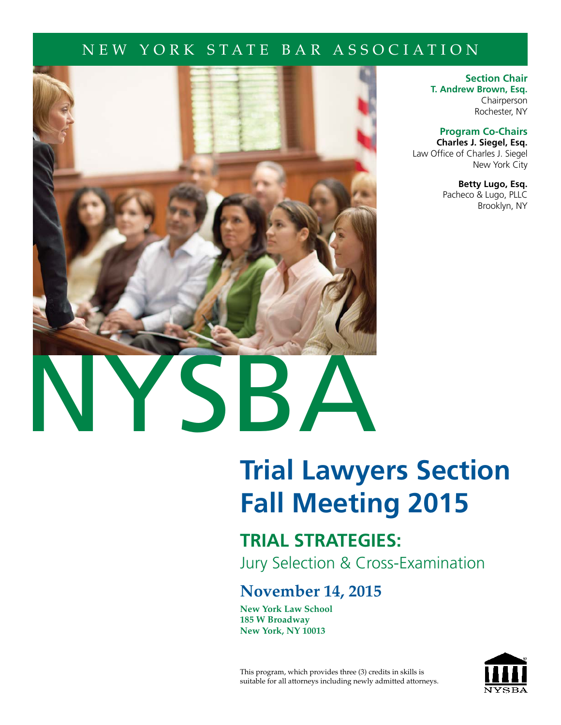# NEW YORK STATE BAR ASSOCIATION



**Section Chair T. Andrew Brown, Esq.** Chairperson Rochester, NY

**Program Co-Chairs**

**Charles J. Siegel, Esq.** Law Office of Charles J. Siegel New York City

> **Betty Lugo, Esq.** Pacheco & Lugo, PLLC Brooklyn, NY

# **[Trial Lawyers Section](http://www.nysba.org/trial) Fall Meeting 2015**

# **TRIAL STRATEGIES:**

Jury Selection & Cross-Examination

# **November 14, 2015**

**New York Law School 185 W Broadway New York, NY 10013**

This program, which provides three (3) credits in skills is suitable for all attorneys including newly admitted attorneys.

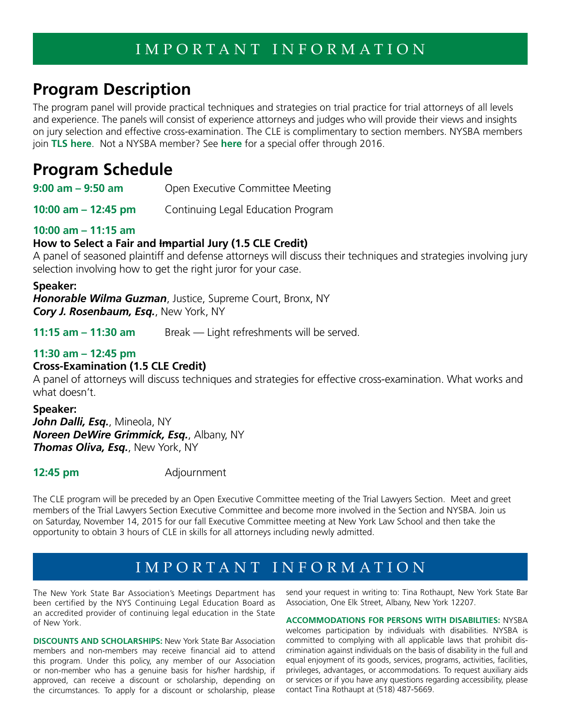# **Program Description**

The program panel will provide practical techniques and strategies on trial practice for trial attorneys of all levels and experience. The panels will consist of experience attorneys and judges who will provide their views and insights on jury selection and effective cross-examination. The CLE is complimentary to section members. NYSBA members join **[TLS here](http://www.nysba.org/Sections/Trial/Join_the_Section/Join_the_Trial_Lawyers_Section.html)**. Not a NYSBA member? See **[here](http://www.nysba.org/workarea/DownloadAsset.aspx?id=52144)** for a special offer through 2016.

# **Program Schedule**

**9:00 am – 9:50 am** Open Executive Committee Meeting

**10:00 am – 12:45 pm** Continuing Legal Education Program

### **10:00 am – 11:15 am**

### **How to Select a Fair and Impartial Jury (1.5 CLE Credit)**

A panel of seasoned plaintiff and defense attorneys will discuss their techniques and strategies involving jury selection involving how to get the right juror for your case.

### **Speaker:**

*Honorable Wilma Guzman*, Justice, Supreme Court, Bronx, NY *Cory J. Rosenbaum, Esq.*, New York, NY

**11:15 am – 11:30 am** Break — Light refreshments will be served.

### **11:30 am – 12:45 pm**

### **Cross-Examination (1.5 CLE Credit)**

A panel of attorneys will discuss techniques and strategies for effective cross-examination. What works and what doesn't.

### **Speaker:**

*John Dalli, Esq.*, Mineola, NY *Noreen DeWire Grimmick, Esq.*, Albany, NY *Thomas Oliva, Esq.*, New York, NY

**12:45 pm** Adjournment

The CLE program will be preceded by an Open Executive Committee meeting of the Trial Lawyers Section. Meet and greet members of the Trial Lawyers Section Executive Committee and become more involved in the Section and NYSBA. Join us on Saturday, November 14, 2015 for our fall Executive Committee meeting at New York Law School and then take the opportunity to obtain 3 hours of CLE in skills for all attorneys including newly admitted.

# IMPORTANT INFORMATION

The New York State Bar Association's Meetings Department has been certified by the NYS Continuing Legal Education Board as an accredited provider of continuing legal education in the State of New York.

**DISCOUNTS AND SCHOLARSHIPS:** New York State Bar Association members and non-members may receive financial aid to attend this program. Under this policy, any member of our Association or non-member who has a genuine basis for his/her hardship, if approved, can receive a discount or scholarship, depending on the circumstances. To apply for a discount or scholarship, please send your request in writing to: Tina Rothaupt, New York State Bar Association, One Elk Street, Albany, New York 12207.

**ACCOMMODATIONS FOR PERSONS WITH DISABILITIES:** NYSBA welcomes participation by individuals with disabilities. NYSBA is committed to complying with all applicable laws that prohibit discrimination against individuals on the basis of disability in the full and equal enjoyment of its goods, services, programs, activities, facilities, privileges, advantages, or accommodations. To request auxiliary aids or services or if you have any questions regarding accessibility, please contact Tina Rothaupt at (518) 487-5669.